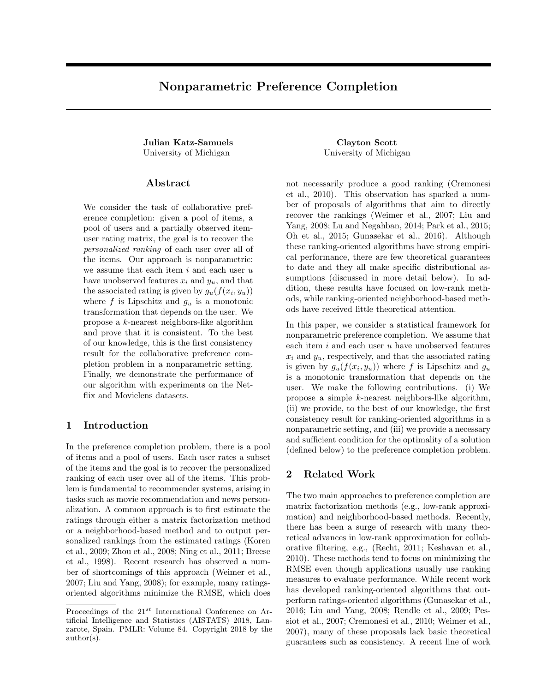# <span id="page-0-1"></span>Nonparametric Preference Completion

Julian Katz-Samuels Clayton Scott University of Michigan University of Michigan

#### Abstract

We consider the task of collaborative preference completion: given a pool of items, a pool of users and a partially observed itemuser rating matrix, the goal is to recover the personalized ranking of each user over all of the items. Our approach is nonparametric: we assume that each item  $i$  and each user  $u$ have unobserved features  $x_i$  and  $y_u$ , and that the associated rating is given by  $g_u(f(x_i, y_u))$ where  $f$  is Lipschitz and  $g_u$  is a monotonic transformation that depends on the user. We propose a k-nearest neighbors-like algorithm and prove that it is consistent. To the best of our knowledge, this is the first consistency result for the collaborative preference completion problem in a nonparametric setting. Finally, we demonstrate the performance of our algorithm with experiments on the Netflix and Movielens datasets.

#### 1 Introduction

In the preference completion problem, there is a pool of items and a pool of users. Each user rates a subset of the items and the goal is to recover the personalized ranking of each user over all of the items. This problem is fundamental to recommender systems, arising in tasks such as movie recommendation and news personalization. A common approach is to first estimate the ratings through either a matrix factorization method or a neighborhood-based method and to output personalized rankings from the estimated ratings [\(Koren](#page-8-0) [et al.,](#page-8-0) [2009;](#page-8-0) [Zhou et al.,](#page-9-0) [2008;](#page-9-0) [Ning et al.,](#page-8-1) [2011;](#page-8-1) [Breese](#page-8-2) [et al.,](#page-8-2) [1998\)](#page-8-2). Recent research has observed a number of shortcomings of this approach [\(Weimer et al.,](#page-9-1) [2007;](#page-9-1) [Liu and Yang,](#page-8-3) [2008\)](#page-8-3); for example, many ratingsoriented algorithms minimize the RMSE, which does

not necessarily produce a good ranking [\(Cremonesi](#page-8-4) [et al.,](#page-8-4) [2010\)](#page-8-4). This observation has sparked a number of proposals of algorithms that aim to directly recover the rankings [\(Weimer et al.,](#page-9-1) [2007;](#page-9-1) [Liu and](#page-8-3) [Yang,](#page-8-3) [2008;](#page-8-3) [Lu and Negahban,](#page-8-5) [2014;](#page-8-5) [Park et al.,](#page-8-6) [2015;](#page-8-6) [Oh et al.,](#page-8-7) [2015;](#page-8-7) [Gunasekar et al.,](#page-8-8) [2016\)](#page-8-8). Although these ranking-oriented algorithms have strong empirical performance, there are few theoretical guarantees to date and they all make specific distributional assumptions (discussed in more detail below). In addition, these results have focused on low-rank methods, while ranking-oriented neighborhood-based methods have received little theoretical attention.

In this paper, we consider a statistical framework for nonparametric preference completion. We assume that each item  $i$  and each user  $u$  have unobserved features  $x_i$  and  $y_u$ , respectively, and that the associated rating is given by  $g_u(f(x_i, y_u))$  where f is Lipschitz and  $g_u$ is a monotonic transformation that depends on the user. We make the following contributions. (i) We propose a simple k-nearest neighbors-like algorithm, (ii) we provide, to the best of our knowledge, the first consistency result for ranking-oriented algorithms in a nonparametric setting, and (iii) we provide a necessary and sufficient condition for the optimality of a solution (defined below) to the preference completion problem.

## <span id="page-0-0"></span>2 Related Work

The two main approaches to preference completion are matrix factorization methods (e.g., low-rank approximation) and neighborhood-based methods. Recently, there has been a surge of research with many theoretical advances in low-rank approximation for collaborative filtering, e.g., [\(Recht,](#page-8-9) [2011;](#page-8-9) [Keshavan et al.,](#page-8-10) [2010\)](#page-8-10). These methods tend to focus on minimizing the RMSE even though applications usually use ranking measures to evaluate performance. While recent work has developed ranking-oriented algorithms that outperform ratings-oriented algorithms [\(Gunasekar et al.,](#page-8-8) [2016;](#page-8-8) [Liu and Yang,](#page-8-3) [2008;](#page-8-3) [Rendle et al.,](#page-8-11) [2009;](#page-8-11) [Pes](#page-8-12)[siot et al.,](#page-8-12) [2007;](#page-8-12) [Cremonesi et al.,](#page-8-4) [2010;](#page-8-4) [Weimer et al.,](#page-9-1) [2007\)](#page-9-1), many of these proposals lack basic theoretical guarantees such as consistency. A recent line of work

Proceedings of the  $21^{st}$  International Conference on Artificial Intelligence and Statistics (AISTATS) 2018, Lanzarote, Spain. PMLR: Volume 84. Copyright 2018 by the author(s).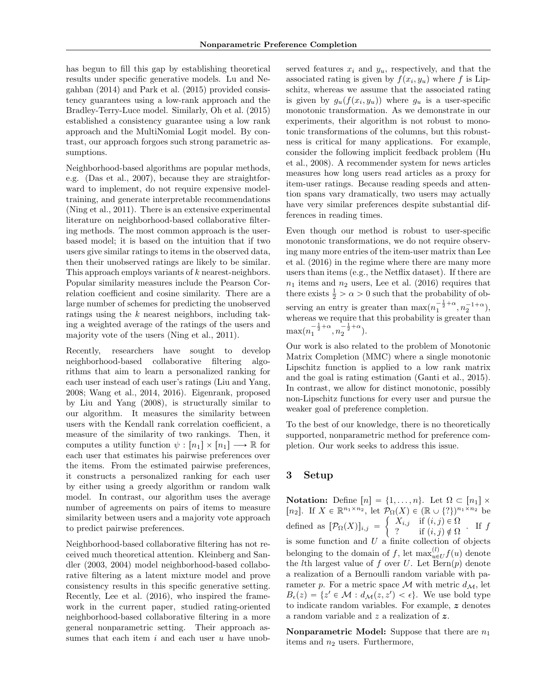has begun to fill this gap by establishing theoretical results under specific generative models. [Lu and Ne](#page-8-5)[gahban](#page-8-5) [\(2014\)](#page-8-5) and [Park et al.](#page-8-6) [\(2015\)](#page-8-6) provided consistency guarantees using a low-rank approach and the Bradley-Terry-Luce model. Similarly, [Oh et al.](#page-8-7) [\(2015\)](#page-8-7) established a consistency guarantee using a low rank approach and the MultiNomial Logit model. By contrast, our approach forgoes such strong parametric assumptions.

Neighborhood-based algorithms are popular methods, e.g. [\(Das et al.,](#page-8-13) [2007\)](#page-8-13), because they are straightforward to implement, do not require expensive modeltraining, and generate interpretable recommendations [\(Ning et al.,](#page-8-1) [2011\)](#page-8-1). There is an extensive experimental literature on neighborhood-based collaborative filtering methods. The most common approach is the userbased model; it is based on the intuition that if two users give similar ratings to items in the observed data, then their unobserved ratings are likely to be similar. This approach employs variants of k nearest-neighbors. Popular similarity measures include the Pearson Correlation coefficient and cosine similarity. There are a large number of schemes for predicting the unobserved ratings using the k nearest neighbors, including taking a weighted average of the ratings of the users and majority vote of the users [\(Ning et al.,](#page-8-1) [2011\)](#page-8-1).

Recently, researchers have sought to develop neighborhood-based collaborative filtering algorithms that aim to learn a personalized ranking for each user instead of each user's ratings [\(Liu and Yang,](#page-8-3) [2008;](#page-8-3) [Wang et al.,](#page-8-14) [2014,](#page-8-14) [2016\)](#page-9-2). Eigenrank, proposed by [Liu and Yang](#page-8-3) [\(2008\)](#page-8-3), is structurally similar to our algorithm. It measures the similarity between users with the Kendall rank correlation coefficient, a measure of the similarity of two rankings. Then, it computes a utility function  $\psi : [n_1] \times [n_1] \longrightarrow \mathbb{R}$  for each user that estimates his pairwise preferences over the items. From the estimated pairwise preferences, it constructs a personalized ranking for each user by either using a greedy algorithm or random walk model. In contrast, our algorithm uses the average number of agreements on pairs of items to measure similarity between users and a majority vote approach to predict pairwise preferences.

Neighborhood-based collaborative filtering has not received much theoretical attention. [Kleinberg and San](#page-8-15)[dler](#page-8-15) [\(2003,](#page-8-15) [2004\)](#page-8-16) model neighborhood-based collaborative filtering as a latent mixture model and prove consistency results in this specific generative setting. Recently, [Lee et al.](#page-8-17) [\(2016\)](#page-8-17), who inspired the framework in the current paper, studied rating-oriented neighborhood-based collaborative filtering in a more general nonparametric setting. Their approach assumes that each item  $i$  and each user  $u$  have unob-

served features  $x_i$  and  $y_u$ , respectively, and that the associated rating is given by  $f(x_i, y_u)$  where f is Lipschitz, whereas we assume that the associated rating is given by  $g_u(f(x_i, y_u))$  where  $g_u$  is a user-specific monotonic transformation. As we demonstrate in our experiments, their algorithm is not robust to monotonic transformations of the columns, but this robustness is critical for many applications. For example, consider the following implicit feedback problem [\(Hu](#page-8-18) [et al.,](#page-8-18) [2008\)](#page-8-18). A recommender system for news articles measures how long users read articles as a proxy for item-user ratings. Because reading speeds and attention spans vary dramatically, two users may actually have very similar preferences despite substantial differences in reading times.

Even though our method is robust to user-specific monotonic transformations, we do not require observing many more entries of the item-user matrix than [Lee](#page-8-17) [et al.](#page-8-17) [\(2016\)](#page-8-17) in the regime where there are many more users than items (e.g., the Netflix dataset). If there are  $n_1$  items and  $n_2$  users, [Lee et al.](#page-8-17) [\(2016\)](#page-8-17) requires that there exists  $\frac{1}{2} > \alpha > 0$  such that the probability of observing an entry is greater than  $\max(n_1^{-\frac{1}{2}+\alpha}, n_2^{-1+\alpha}),$ whereas we require that this probability is greater than  $\max(n_1^{-\frac{1}{2}+\alpha}, n_2^{-\frac{1}{2}+\alpha}).$ 

Our work is also related to the problem of Monotonic Matrix Completion (MMC) where a single monotonic Lipschitz function is applied to a low rank matrix and the goal is rating estimation [\(Ganti et al.,](#page-8-19) [2015\)](#page-8-19). In contrast, we allow for distinct monotonic, possibly non-Lipschitz functions for every user and pursue the weaker goal of preference completion.

To the best of our knowledge, there is no theoretically supported, nonparametric method for preference completion. Our work seeks to address this issue.

#### 3 Setup

Notation: Define  $[n] = \{1, \ldots, n\}$ . Let  $\Omega \subset [n_1] \times$ [n<sub>2</sub>]. If  $X \in \mathbb{R}^{n_1 \times n_2}$ , let  $\mathcal{P}_{\Omega}(X) \in (\mathbb{R} \cup \{? \})^{n_1 \times n_2}$  be defined as  $[\mathcal{P}_{\Omega}(X)]_{i,j} =$  $P$  $X_{i,j}$  if  $(i, j) \in \Omega$  $?$  if  $(i, j) \notin \Omega$  · If  $f$ <br> $?$  if  $(i, j) \notin \Omega$ is some function and  $U$  a finite collection of objects belonging to the domain of f, let  $\max_{u \in U}^{(l)} f(u)$  denote the *l*th largest value of f over U. Let  $Bern(p)$  denote a realization of a Bernoulli random variable with parameter p. For a metric space M with metric  $d_{\mathcal{M}}$ , let  $B_{\epsilon}(z) = \{z' \in \mathcal{M} : d_{\mathcal{M}}(z, z') < \epsilon\}.$  We use bold type to indicate random variables. For example,  $z$  denotes a random variable and z a realization of z.

**Nonparametric Model:** Suppose that there are  $n_1$ items and  $n_2$  users. Furthermore,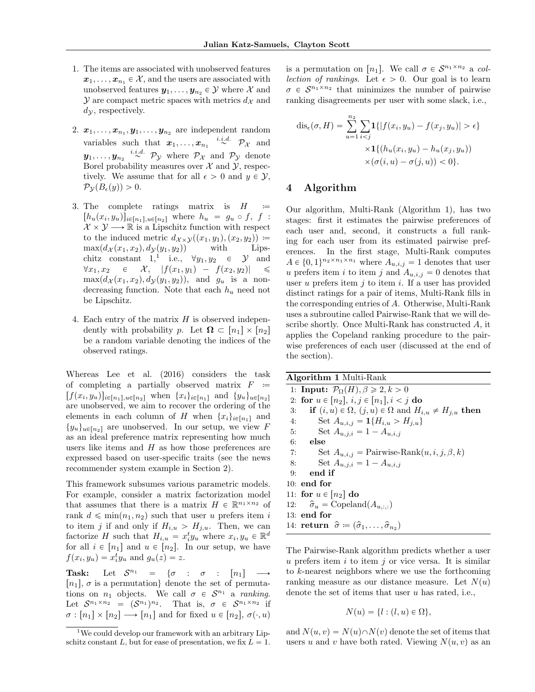- 1. The items are associated with unobserved features  $x_1, \ldots, x_{n_1} \in \mathcal{X}$ , and the users are associated with unobserved features  $y_1, \ldots, y_{n_2} \in \mathcal{Y}$  where X and  $\mathcal Y$  are compact metric spaces with metrics  $d_{\mathcal X}$  and  $dy$ , respectively.
- 2.  $x_1, \ldots, x_{n_1}, y_1, \ldots, y_{n_2}$  are independent random variables such that  $x_1, \ldots, x_{n_1} \stackrel{i.i.d.}{\sim} \mathcal{P}_{\mathcal{X}}$  and  $y_1, \ldots, y_{n_2} \stackrel{i.i.d.}{\sim} \mathcal{P}_{\mathcal{Y}}$  where  $\mathcal{P}_{\mathcal{X}}$  and  $\mathcal{P}_{\mathcal{Y}}$  denote Borel probability measures over  $\mathcal X$  and  $\mathcal Y$ , respectively. We assume that for all  $\epsilon > 0$  and  $y \in \mathcal{Y}$ ,  $\mathcal{P}_{\mathcal{Y}}(B_{\epsilon}(y)) > 0.$
- 3. The complete ratings matrix is  $H =$  $[h_u(x_i, y_u)]_{i \in [n_1], u \in [n_2]}$  where  $h_u = g_u \circ f, f$ :  $\mathcal{X} \times \mathcal{Y} \longrightarrow \mathbb{R}$  is a Lipschitz function with respect to the induced metric  $d_{\mathcal{X}\times\mathcal{Y}}((x_1,y_1),(x_2,y_2))$  =  $\max(d_{\mathcal{X}}(x_1, x_2), d_{\mathcal{Y}}(y_1, y_2))$  with Lips-chitz constant [1](#page-2-0),<sup>1</sup> i.e.,  $\forall y_1, y_2 \in \mathcal{Y}$  and  $\forall x_1, x_2 \in \mathcal{X}, \quad |f(x_1, y_1) - f(x_2, y_2)|$  $\max(d_{\mathcal{X}}(x_1, x_2), d_{\mathcal{Y}}(y_1, y_2)),$  and  $g_u$  is a nondecreasing function. Note that each  $h_u$  need not be Lipschitz.
- 4. Each entry of the matrix  $H$  is observed independently with probability p. Let  $\mathbf{\Omega} \subset [n_1] \times [n_2]$ be a random variable denoting the indices of the observed ratings.

Whereas [Lee et al.](#page-8-17) [\(2016\)](#page-8-17) considers the task of completing a partially observed matrix  $F =$  $[f(x_i, y_u)]_{i \in [n_1], u \in [n_2]}$  when  $\{x_i\}_{i \in [n_1]}$  and  $\{y_u\}_{u \in [n_2]}$ are unobserved, we aim to recover the ordering of the elements in each column of H when  $\{x_i\}_{i\in[n_1]}$  and  $\{y_u\}_{u\in[n_2]}$  are unobserved. In our setup, we view F as an ideal preference matrix representing how much users like items and  $H$  as how those preferences are expressed based on user-specific traits (see the news recommender system example in Section [2\)](#page-0-0).

This framework subsumes various parametric models. For example, consider a matrix factorization model that assumes that there is a matrix  $H \in \mathbb{R}^{n_1 \times n_2}$  of rank  $d \leq \min(n_1, n_2)$  such that user u prefers item i to item j if and only if  $H_{i,u} > H_{j,u}$ . Then, we can factorize H such that  $H_{i,u} = x_i^t y_u$  where  $x_i, y_u \in \mathbb{R}^d$ for all  $i \in [n_1]$  and  $u \in [n_2]$ . In our setup, we have  $f(x_i, y_u) = x_i^t y_u$  and  $g_u(z) = z$ .

Task: Let  $S^{n_1} = {\sigma : \sigma : [n_1] \longrightarrow}$  $[n_1], \sigma$  is a permutation denote the set of permutations on  $n_1$  objects. We call  $\sigma \in S^{n_1}$  a ranking. Let  $\mathcal{S}^{n_1 \times n_2} = (\mathcal{S}^{n_1})^{n_2}$ . That is,  $\sigma \in \mathcal{S}^{n_1 \times n_2}$  if  $\sigma : [n_1] \times [n_2] \longrightarrow [n_1]$  and for fixed  $u \in [n_2], \sigma(\cdot, u)$ 

is a permutation on  $[n_1]$ . We call  $\sigma \in S^{n_1 \times n_2}$  a collection of rankings. Let  $\epsilon > 0$ . Our goal is to learn  $\sigma \in S^{n_1 \times n_2}$  that minimizes the number of pairwise ranking disagreements per user with some slack, i.e.,

$$
dis_{\epsilon}(\sigma, H) = \sum_{u=1}^{n_2} \sum_{i < j} \mathbf{1}\{|f(x_i, y_u) - f(x_j, y_u)| > \epsilon\} \\
\times \mathbf{1}\{(h_u(x_i, y_u) - h_u(x_j, y_u)) \\
\times (\sigma(i, u) - \sigma(j, u)) < 0\}.
$$

## 4 Algorithm

Our algorithm, Multi-Rank (Algorithm [1\)](#page-2-1), has two stages: first it estimates the pairwise preferences of each user and, second, it constructs a full ranking for each user from its estimated pairwise preferences. In the first stage, Multi-Rank computes  $A \in \{0, 1\}^{n_2 \times n_1 \times n_1}$  where  $A_{u,i,j} = 1$  denotes that user u prefers item i to item j and  $A_{u,i,j} = 0$  denotes that user u prefers item j to item i. If a user has provided distinct ratings for a pair of items, Multi-Rank fills in the corresponding entries of A. Otherwise, Multi-Rank uses a subroutine called Pairwise-Rank that we will describe shortly. Once Multi-Rank has constructed A, it applies the Copeland ranking procedure to the pairwise preferences of each user (discussed at the end of the section).

Algorithm 1 Multi-Rank

<span id="page-2-1"></span>1: **Input:**  $\mathcal{P}_{\Omega}(H), \beta \geq 2, k > 0$ 2: for  $u \in [n_2], i, j \in [n_1], i < j$  do 3: if  $(i, u) \in \Omega$ ,  $(j, u) \in \Omega$  and  $H_{i, u} \neq H_{j, u}$  then 4: Set  $A_{u,i,j} = \mathbf{1}{H_{i,u} > H_{j,u}}$ 5: Set  $A_{u,j,i} = 1 - A_{u,i,j}$ 6: else 7: Set  $A_{u,i,j}$  = Pairwise-Rank $(u, i, j, \beta, k)$ 8: Set  $A_{u,j,i} = 1 - A_{u,i,j}$  $9:$  end if 10: end for 11: for  $u \in [n_2]$  do 12:  $\hat{\sigma}_u = \text{Copeland}(A_{u, :, :})$ 13: end for 14: return  $\hat{\sigma} \coloneqq (\hat{\sigma}_1, \dots, \hat{\sigma}_{n_2})$ 

The Pairwise-Rank algorithm predicts whether a user u prefers item  $i$  to item  $j$  or vice versa. It is similar to k-nearest neighbors where we use the forthcoming ranking measure as our distance measure. Let  $N(u)$ denote the set of items that user  $u$  has rated, i.e.,

$$
N(u) = \{l : (l, u) \in \Omega\},\
$$

and  $N(u, v) = N(u) \cap N(v)$  denote the set of items that users u and v have both rated. Viewing  $N(u, v)$  as an

<span id="page-2-0"></span><sup>&</sup>lt;sup>1</sup>We could develop our framework with an arbitrary Lipschitz constant L, but for ease of presentation, we fix  $L = 1$ .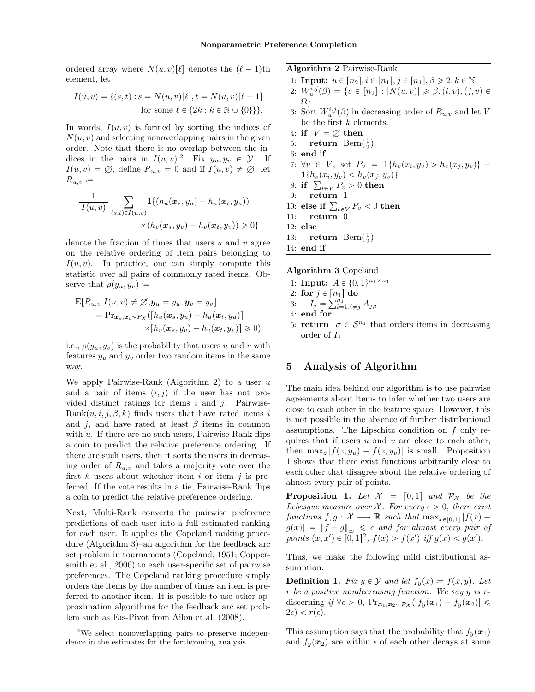ordered array where  $N(u, v)[\ell]$  denotes the  $(\ell + 1)$ th element, let

$$
I(u, v) = \{(s, t) : s = N(u, v)[\ell], t = N(u, v)[\ell + 1]
$$
  
for some  $\ell \in \{2k : k \in \mathbb{N} \cup \{0\}\}\}.$ 

In words,  $I(u, v)$  is formed by sorting the indices of  $N(u, v)$  and selecting nonoverlapping pairs in the given order. Note that there is no overlap between the indices in the pairs in  $I(u, v)$ .<sup>[2](#page-3-0)</sup> Fix  $y_u, y_v \in \mathcal{Y}$ . If  $I(u, v) = \emptyset$ , define  $R_{u, v} = 0$  and if  $I(u, v) \neq \emptyset$ , let  $R_{u,v} \coloneqq$ 

$$
\frac{1}{|I(u,v)|} \sum_{(s,t)\in I(u,v)} \mathbf{1}\{(h_u(\boldsymbol{x}_s,y_u) - h_u(\boldsymbol{x}_t,y_u))\n\\ \times (h_v(\boldsymbol{x}_s,y_v) - h_v(\boldsymbol{x}_t,y_v)) \geq 0\}
$$

denote the fraction of times that users  $u$  and  $v$  agree on the relative ordering of item pairs belonging to  $I(u, v)$ . In practice, one can simply compute this statistic over all pairs of commonly rated items. Observe that  $\rho(y_u, y_v) \coloneqq$ 

$$
\mathbb{E}[R_{u,v}|I(u,v) \neq \emptyset, \mathbf{y}_u = y_u, \mathbf{y}_v = y_v]
$$
  
=  $\Pr_{\mathbf{x}_s, \mathbf{x}_t \sim P_{\mathcal{X}}} ([h_u(\mathbf{x}_s, y_u) - h_u(\mathbf{x}_t, y_u)]$   
 $\times [h_v(\mathbf{x}_s, y_v) - h_v(\mathbf{x}_t, y_v)] \geq 0)$ 

i.e.,  $\rho(y_u, y_v)$  is the probability that users u and v with features  $y_u$  and  $y_v$  order two random items in the same way.

We apply Pairwise-Rank (Algorithm [2\)](#page-3-1) to a user  $u$ and a pair of items  $(i, j)$  if the user has not provided distinct ratings for items  $i$  and  $j$ . Pairwise-Rank $(u, i, j, \beta, k)$  finds users that have rated items i and *i*, and have rated at least  $\beta$  items in common with  $u$ . If there are no such users, Pairwise-Rank flips a coin to predict the relative preference ordering. If there are such users, then it sorts the users in decreasing order of  $R_{u,v}$  and takes a majority vote over the first  $k$  users about whether item  $i$  or item  $j$  is preferred. If the vote results in a tie, Pairwise-Rank flips a coin to predict the relative preference ordering.

Next, Multi-Rank converts the pairwise preference predictions of each user into a full estimated ranking for each user. It applies the Copeland ranking procedure (Algorithm [3\)](#page-3-2)–an algorithm for the feedback arc set problem in tournaments [\(Copeland,](#page-8-20) [1951;](#page-8-20) [Copper](#page-8-21)[smith et al.,](#page-8-21) [2006\)](#page-8-21) to each user-specific set of pairwise preferences. The Copeland ranking procedure simply orders the items by the number of times an item is preferred to another item. It is possible to use other approximation algorithms for the feedback arc set problem such as Fas-Pivot from [Ailon et al.](#page-8-22) [\(2008\)](#page-8-22).

Algorithm 2 Pairwise-Rank

- <span id="page-3-1"></span>1: **Input:**  $u \in [n_2], i \in [n_1], j \in [n_1], \beta \geqslant 2, k \in \mathbb{N}$ 2:  $W_u^{i,j}(\beta) = \{v \in [n_2] : |N(u,v)| \geq \beta, (i, v), (j, v) \in$
- $\Omega$ 3: Sort  $W_u^{i,j}(\beta)$  in decreasing order of  $R_{u,v}$  and let V
- be the first  $k$  elements.
- 4: if  $V = \emptyset$  then
- 5: **return** Bern $(\frac{1}{2})$
- 6: end if 7:  $\forall v \in V$ , set  $P_v = \mathbf{1}\{h_v(x_i, y_v) > h_v(x_j, y_v)\}$  $\mathbf{1}\{h_v(x_i, y_v) < h_v(x_j, y_v)\}\$
- $1\{h_v(x_i,y_v) < h_v(x_j,y_v)\}\$ : if  $\sum_{v\in V}P_v > 0$  then
- 9: return 1
- $\begin{array}{ll} 9: & {\bf return} \ \ 10: & {\bf else \ if} \, \sum_{v \in V} P_v < 0 \text{ then} \end{array}$
- 11: return 0
- 12: else
- 13: **return** Bern $(\frac{1}{2})$

14: end if

<span id="page-3-2"></span>

| <b>Algorithm 3 Copeland</b>                                                     |
|---------------------------------------------------------------------------------|
| 1: <b>Input:</b> $A \in \{0,1\}^{n_1 \times n_1}$                               |
| 2: for $j \in [n_1]$ do                                                         |
| 3: $I_j = \sum_{i=1, i \neq j}^{n_1} A_{j,i}$                                   |
| $4\cdot$ end for                                                                |
| 5: <b>return</b> $\sigma \in \mathcal{S}^{n_1}$ that orders items in decreasing |
| order of $I_i$                                                                  |

# 5 Analysis of Algorithm

The main idea behind our algorithm is to use pairwise agreements about items to infer whether two users are close to each other in the feature space. However, this is not possible in the absence of further distributional assumptions. The Lipschitz condition on f only requires that if users  $u$  and  $v$  are close to each other, then  $\max_z |f(z, y_u) - f(z, y_v)|$  is small. Proposition [1](#page-3-3) shows that there exist functions arbitrarily close to each other that disagree about the relative ordering of almost every pair of points.

<span id="page-3-3"></span>**Proposition 1.** Let  $\mathcal{X} = [0, 1]$  and  $\mathcal{P}_{\mathcal{X}}$  be the Lebesgue measure over X. For every  $\epsilon > 0$ , there exist functions  $f, g: \mathcal{X} \longrightarrow \mathbb{R}$  such that  $\max_{x \in [0,1]} |f(x)$  $g(x)$  =  $||f - g||_{\infty} \leq \epsilon$  and for almost every pair of points  $(x, x') \in [0, 1]^2$ ,  $f(x) > f(x')$  iff  $g(x) < g(x')$ .

Thus, we make the following mild distributional assumption.

**Definition 1.** Fix  $y \in \mathcal{Y}$  and let  $f_y(x) \coloneqq f(x, y)$ . Let r be a positive nondecreasing function. We say y is rdiscerning if  $\forall \epsilon > 0$ ,  $Pr_{\boldsymbol{x}_1, \boldsymbol{x}_2 \sim \mathcal{P}_{\mathcal{X}}}(|f_y(\boldsymbol{x}_1) - f_y(\boldsymbol{x}_2)| \leq$  $2\epsilon$ ) <  $r(\epsilon)$ .

This assumption says that the probability that  $f_y(x_1)$ and  $f_y(x_2)$  are within  $\epsilon$  of each other decays at some

<span id="page-3-0"></span><sup>2</sup>We select nonoverlapping pairs to preserve independence in the estimates for the forthcoming analysis.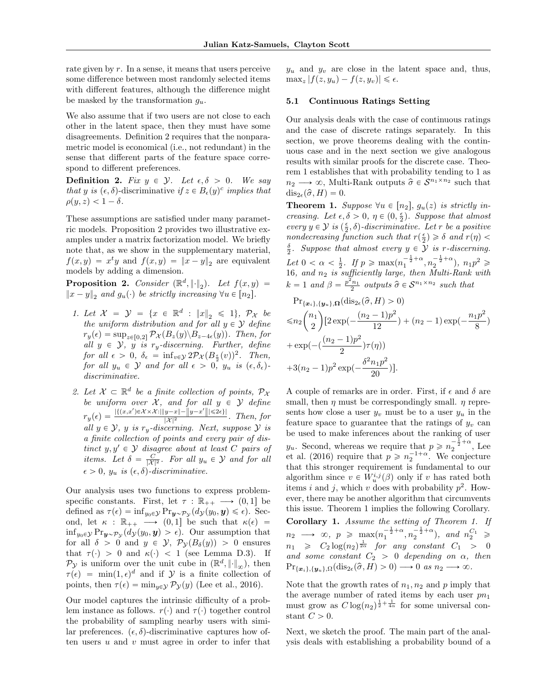rate given by r. In a sense, it means that users perceive some difference between most randomly selected items with different features, although the difference might be masked by the transformation  $g_u$ .

We also assume that if two users are not close to each other in the latent space, then they must have some disagreements. Definition [2](#page-4-0) requires that the nonparametric model is economical (i.e., not redundant) in the sense that different parts of the feature space correspond to different preferences.

<span id="page-4-0"></span>**Definition 2.** Fix  $y \in \mathcal{Y}$ . Let  $\epsilon, \delta > 0$ . We say that y is  $(\epsilon, \delta)$ -discriminative if  $z \in B_{\epsilon}(y)^c$  implies that  $\rho(y, z) < 1 - \delta$ .

These assumptions are satisfied under many parametric models. Proposition [2](#page-4-1) provides two illustrative examples under a matrix factorization model. We briefly note that, as we show in the supplementary material,  $f(x, y) = x^t y$  and  $f(x, y) = ||x - y||_2$  are equivalent models by adding a dimension.

<span id="page-4-1"></span>**Proposition 2.** Consider  $(\mathbb{R}^d, \|\cdot\|_2)$ . Let  $f(x, y) =$  $||x - y||_2$  and  $g_u(\cdot)$  be strictly increasing  $\forall u \in [n_2]$ .

- 1. Let  $\mathcal{X} = \mathcal{Y} = \{x \in \mathbb{R}^d : ||x||_2 \le 1\}, \ \mathcal{P}_{\mathcal{X}}$  be the uniform distribution and for all  $y \in \mathcal{Y}$  define  $r_y(\epsilon) = \sup_{z \in [0,2]} \mathcal{P}_{\mathcal{X}}(B_z(y) \backslash B_{z-4\epsilon}(y)).$  Then, for all  $y \in \mathcal{Y}$ ,  $y \text{ is } r_y\text{-}discerning.$  Further, define for all  $\epsilon > 0$ ,  $\delta_{\epsilon} = \inf_{v \in \mathcal{Y}} 2\mathcal{P}_{\mathcal{X}}(B_{\frac{\epsilon}{2}}(v))^2$ . Then, for all  $y_u \in \mathcal{Y}$  and for all  $\epsilon > 0$ ,  $y_u$  is  $(\epsilon, \delta_{\epsilon})$ . discriminative.
- 2. Let  $\mathcal{X} \subset \mathbb{R}^d$  be a finite collection of points,  $\mathcal{P}_\mathcal{X}$ be uniform over  $\mathcal{X}$ , and for all  $y \in \mathcal{Y}$  define  $r_y(\epsilon) = \frac{|\{(x,x')\in \mathcal{X}\times\mathcal{X} : \|y-x\| - \|y-x'\|\|\leqslant 2\epsilon\}|}{|\mathcal{X}|^2}$  $\frac{y-x_0}{|x|^2}$  . Then, for all  $y \in \mathcal{Y}$ , y is r<sub>y</sub>-discerning. Next, suppose  $\mathcal{Y}$  is a finite collection of points and every pair of distinct  $y, y' \in \mathcal{Y}$  disagree about at least C pairs of items. Let  $\delta = \frac{C}{|\mathcal{X}|^2}$ . For all  $y_u \in \mathcal{Y}$  and for all  $\epsilon > 0$ ,  $y_u$  is  $(\epsilon, \delta)$ -discriminative.

Our analysis uses two functions to express problemspecific constants. First, let  $\tau : \mathbb{R}_{++} \longrightarrow (0, 1]$  be defined as  $\tau(\epsilon) = \inf_{y_0 \in \mathcal{Y}} \Pr_{\mathbf{y} \sim \mathcal{P}_{\mathcal{Y}}}(d_{\mathcal{Y}}(y_0, \mathbf{y}) \leq \epsilon)$ . Second, let  $\kappa : \mathbb{R}_{++} \longrightarrow (0, 1]$  be such that  $\kappa(\epsilon) =$  $\inf_{y_0 \in \mathcal{Y}} \Pr_{\mathbf{y} \sim \mathcal{P}_{\mathcal{Y}}}(d_{\mathcal{Y}}(y_0, \mathbf{y}) > \epsilon)$ . Our assumption that for all  $\delta > 0$  and  $y \in \mathcal{Y}$ ,  $\mathcal{P}_{\mathcal{Y}}(B_{\delta}(y)) > 0$  ensures that  $\tau(\cdot) > 0$  and  $\kappa(\cdot) < 1$  (see Lemma [D.3\)](#page-0-1). If  $\mathcal{P}_{\mathcal{Y}}$  is uniform over the unit cube in  $(\mathbb{R}^d, \lVert \cdot \rVert_{\infty})$ , then  $\tau(\epsilon) = \min(1, \epsilon)^d$  and if  $\mathcal Y$  is a finite collection of points, then  $\tau(\epsilon) = \min_{y \in \mathcal{Y}} \mathcal{P}_{\mathcal{Y}}(y)$  [\(Lee et al.,](#page-8-17) [2016\)](#page-8-17).

Our model captures the intrinsic difficulty of a problem instance as follows.  $r(\cdot)$  and  $\tau(\cdot)$  together control the probability of sampling nearby users with similar preferences.  $(\epsilon, \delta)$ -discriminative captures how often users  $u$  and  $v$  must agree in order to infer that

 $y_u$  and  $y_v$  are close in the latent space and, thus,  $\max_z |f(z, y_u) - f(z, y_v)| \leq \epsilon.$ 

#### 5.1 Continuous Ratings Setting

Our analysis deals with the case of continuous ratings and the case of discrete ratings separately. In this section, we prove theorems dealing with the continuous case and in the next section we give analogous results with similar proofs for the discrete case. Theorem [1](#page-4-2) establishes that with probability tending to 1 as  $n_2 \longrightarrow \infty$ , Multi-Rank outputs  $\hat{\sigma} \in \mathcal{S}^{n_1 \times n_2}$  such that  $dis_{2\epsilon}(\hat{\sigma}, H) = 0.$ 

<span id="page-4-2"></span>**Theorem 1.** Suppose  $\forall u \in [n_2], g_u(z)$  is strictly increasing. Let  $\epsilon, \delta > 0, \eta \in (0, \frac{\epsilon}{2})$ . Suppose that almost every  $y \in \mathcal{Y}$  is  $(\frac{\epsilon}{2}, \delta)$ -discriminative. Let r be a positive nondecreasing function such that  $r(\frac{\epsilon}{2}) \geq \delta$  and  $r(\eta)$  $\frac{\delta}{2}$ . Suppose that almost every  $y \in \mathcal{Y}$  is r-discerning. Let  $0 < \alpha < \frac{1}{2}$ . If  $p \ge \max(n_1^{-\frac{1}{2} + \alpha}, n_2^{-\frac{1}{2} + \alpha})$ ,  $n_1 p^2 \ge$ 16, and  $n_2$  is sufficiently large, then Multi-Rank with  $k = 1$  and  $\beta = \frac{p^2 n_1}{2}$  outputs  $\hat{\sigma} \in \mathcal{S}^{n_1 \times n_2}$  such that

$$
\Pr_{\{\boldsymbol{x}_i\},\{\boldsymbol{y}_u\},\Omega}(\text{dis}_{2\epsilon}(\hat{\sigma}, H) > 0)
$$
  
\n
$$
\leq n_2 {n_1 \choose 2} [2 \exp(-\frac{(n_2 - 1)p^2}{12}) + (n_2 - 1) \exp(-\frac{n_1p^2}{8})
$$
  
\n
$$
+ \exp(-(\frac{(n_2 - 1)p^2}{2})\tau(\eta))
$$
  
\n
$$
+ 3(n_2 - 1)p^2 \exp(-\frac{\delta^2 n_1p^2}{20})].
$$

A couple of remarks are in order. First, if  $\epsilon$  and  $\delta$  are small, then  $\eta$  must be correspondingly small.  $\eta$  represents how close a user  $y_v$  must be to a user  $y_u$  in the feature space to guarantee that the ratings of  $y_v$  can be used to make inferences about the ranking of user  $y_u$ . Second, whereas we require that  $p \geqslant n_2^{-\frac{1}{2}+\alpha}$ , [Lee](#page-8-17) [et al.](#page-8-17) [\(2016\)](#page-8-17) require that  $p \geqslant n_2^{-1+\alpha}$ . We conjecture that this stronger requirement is fundamental to our algorithm since  $v \in W_u^{i,j}(\beta)$  only if v has rated both items i and j, which v does with probability  $p^2$ . However, there may be another algorithm that circumvents this issue. Theorem [1](#page-4-2) implies the following Corollary. Corollary [1.](#page-4-2) Assume the setting of Theorem 1. If  $n_2 \longrightarrow \infty$ ,  $p \ge \max(n_1^{-\frac{1}{2}+\alpha}, n_2^{-\frac{1}{2}+\alpha})$ , and  $n_2^{C_1} \ge$  $n_1 \geqslant C_2 \log(n_2)^{\frac{1}{2\alpha}}$  for any constant  $C_1 > 0$ and some constant  $C_2 > 0$  depending on  $\alpha$ , then

Note that the growth rates of  $n_1, n_2$  and p imply that the average number of rated items by each user  $p n_1$ must grow as  $C \log(n_2)^{\frac{1}{2} + \frac{1}{4\alpha}}$  for some universal constant  $C > 0$ .

 $Pr_{\{\boldsymbol{x}_i\},\{\boldsymbol{y}_u\},\Omega}(\text{dis}_{2\epsilon}(\widehat{\sigma}, H) > 0) \longrightarrow 0$  as  $n_2 \longrightarrow \infty$ .

Next, we sketch the proof. The main part of the analysis deals with establishing a probability bound of a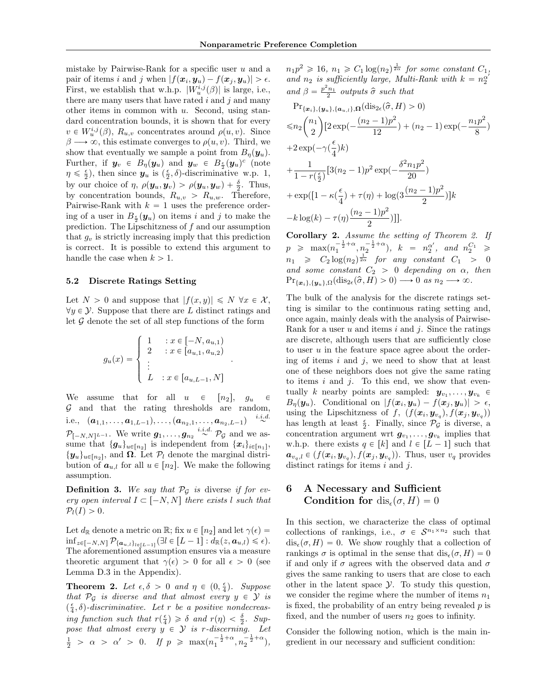mistake by Pairwise-Rank for a specific user  $u$  and a pair of items i and j when  $|f(\boldsymbol{x}_i, \boldsymbol{y}_u) - f(\boldsymbol{x}_j, \boldsymbol{y}_u)| > \epsilon$ . First, we establish that w.h.p.  $|W_u^{i,j}(\beta)|$  is large, i.e., there are many users that have rated  $i$  and  $j$  and many other items in common with  $u$ . Second, using standard concentration bounds, it is shown that for every  $v \in W_u^{i,j}(\beta)$ ,  $R_{u,v}$  concentrates around  $\rho(u, v)$ . Since  $\beta \longrightarrow \infty$ , this estimate converges to  $\rho(u, v)$ . Third, we show that eventually we sample a point from  $B_{\eta}(\mathbf{y}_u)$ . Further, if  $y_v \in B_{\eta}(y_u)$  and  $y_w \in B_{\frac{\epsilon}{2}}(y_u)^c$  (note  $\eta \leq \frac{\epsilon}{2}$ , then since  $y_u$  is  $(\frac{\epsilon}{2}, \delta)$ -discriminative w.p. 1, by our choice of  $\eta$ ,  $\rho(\boldsymbol{y}_u, \boldsymbol{y}_v) > \rho(\boldsymbol{y}_u, \boldsymbol{y}_w) + \frac{\delta}{2}$ . Thus, by concentration bounds,  $R_{u,v} > R_{u,w}$ . Therefore, Pairwise-Rank with  $k = 1$  uses the preference ordering of a user in  $B_{\frac{\epsilon}{2}}(\mathbf{y}_u)$  on items i and j to make the prediction. The Lipschitzness of  $f$  and our assumption that  $q_v$  is strictly increasing imply that this prediction is correct. It is possible to extend this argument to handle the case when  $k > 1$ .

#### 5.2 Discrete Ratings Setting

Let  $N > 0$  and suppose that  $|f(x, y)| \leq N \ \forall x \in \mathcal{X}$ ,  $\forall y \in \mathcal{Y}$ . Suppose that there are L distinct ratings and let  $G$  denote the set of all step functions of the form

$$
g_u(x) = \begin{cases} 1 & : x \in [-N, a_{u,1}) \\ 2 & : x \in [a_{u,1}, a_{u,2}) \\ \vdots & \\ L & : x \in [a_{u,L-1}, N] \end{cases}.
$$

We assume that for all  $u \in [n_2]$ ,  $g_u \in$  $G$  and that the rating thresholds are random, i.e.,  $(a_{1,1}, \ldots, a_{1,L-1}), \ldots, (a_{n_2,1}, \ldots, a_{n_2,L-1})$  $\stackrel{i.i.d.}{\sim}$  $\mathcal{P}_{[-N,N]^{L-1}}$ . We write  $g_1, \ldots, g_{n_2} \stackrel{i.i.d.}{\sim} \mathcal{P}_{\mathcal{G}}$  and we assume that  $\{g_u\}_{u \in [n_2]}$  is independent from  $\{x_i\}_{i \in [n_1]}$ ,  $\{y_u\}_{u \in [n_2]}$ , and  $\Omega$ . Let  $\mathcal{P}_l$  denote the marginal distribution of  $a_{u,l}$  for all  $u \in [n_2]$ . We make the following assumption.

**Definition 3.** We say that  $\mathcal{P}_{\mathcal{G}}$  is diverse if for every open interval  $I \subset [-N, N]$  there exists l such that  $\mathcal{P}_l(I) > 0.$ 

Let  $d_{\mathbb{R}}$  denote a metric on  $\mathbb{R}$ ; fix  $u \in [n_2]$  and let  $\gamma(\epsilon) =$  $\inf_{z \in [-N,N]} \mathcal{P}_{\{a_{u,l}\}_{l \in [L-1]}} (\exists l \in [L-1]: d_{\mathbb{R}}(z, a_{u,l}) \leq \epsilon).$ The aforementioned assumption ensures via a measure theoretic argument that  $\gamma(\epsilon) > 0$  for all  $\epsilon > 0$  (see Lemma [D.3](#page-0-1) in the Appendix).

<span id="page-5-0"></span>**Theorem 2.** Let  $\epsilon, \delta > 0$  and  $\eta \in (0, \frac{\epsilon}{4})$ . Suppose that  $\mathcal{P}_{\mathcal{G}}$  is diverse and that almost every  $y \in \mathcal{Y}$  is  $(\frac{\epsilon}{4}, \delta)$ -discriminative. Let r be a positive nondecreasing function such that  $r(\frac{\epsilon}{4}) \geq \delta$  and  $r(\eta) < \frac{\delta}{2}$ . Suppose that almost every  $y \in Y$  is r-discerning. Let  $\frac{1}{2}$  >  $\alpha$  >  $\alpha'$  > 0. If  $p \ge \max(n_1^{-\frac{1}{2}+\alpha}, n_2^{-\frac{1}{2}+\alpha})$ ,

 $n_1p^2 \geq 16$ ,  $n_1 \geq C_1 \log(n_2)^{\frac{1}{2\alpha}}$  for some constant  $C_1$ , and  $n_2$  is sufficiently large, Multi-Rank with  $k = n_2^{\alpha}$ and  $\beta = \frac{p^2 n_1}{2}$  outputs  $\hat{\sigma}$  such that

$$
\Pr_{\{\boldsymbol{x}_{i}\},\{\boldsymbol{y}_{u}\},\{\boldsymbol{a}_{u,l}\},\Omega}(\text{dis}_{2\epsilon}(\hat{\sigma},H) > 0)
$$
\n
$$
\leq n_{2} {n_{1} \choose 2} [2 \exp(-\frac{(n_{2}-1)p^{2}}{12}) + (n_{2}-1) \exp(-\frac{n_{1}p^{2}}{8})
$$
\n
$$
+2 \exp(-\gamma(\frac{\epsilon}{4})k)
$$
\n
$$
+\frac{1}{1-r(\frac{\epsilon}{2})} [3(n_{2}-1)p^{2} \exp(-\frac{\delta^{2}n_{1}p^{2}}{20})
$$
\n
$$
+ \exp([1-\kappa(\frac{\epsilon}{4})+\tau(\eta)+\log(3\frac{(n_{2}-1)p^{2}}{2})]k
$$
\n
$$
-k \log(k) - \tau(\eta)\frac{(n_{2}-1)p^{2}}{2})]].
$$

Corollary 2. Assume the setting of Theorem [2.](#page-5-0) If  $p \ge \max(n_1^{-\frac{1}{2}+\alpha}, n_2^{-\frac{1}{2}+\alpha}), \quad k = n_2^{\alpha'}, \quad and \quad n_2^{C_1} \ge$  $n_1 \geqslant C_2 \log(n_2)^{\frac{1}{2\alpha}}$  for any constant  $C_1 > 0$ and some constant  $C_2 > 0$  depending on  $\alpha$ , then  $Pr_{\{\boldsymbol{x}_i\},\{\boldsymbol{y}_u\},\Omega}(\text{dis}_{2\epsilon}(\widehat{\sigma}, H) > 0) \longrightarrow 0$  as  $n_2 \longrightarrow \infty$ .

The bulk of the analysis for the discrete ratings setting is similar to the continuous rating setting and, once again, mainly deals with the analysis of Pairwise-Rank for a user  $u$  and items  $i$  and  $j$ . Since the ratings are discrete, although users that are sufficiently close to user  $u$  in the feature space agree about the ordering of items  $i$  and  $j$ , we need to show that at least one of these neighbors does not give the same rating to items  $i$  and  $j$ . To this end, we show that eventually k nearby points are sampled:  $y_{v_1}, \ldots, y_{v_k}$   $\in$  $B_{\eta}(\boldsymbol{y}_{u})$ . Conditional on  $|f(\boldsymbol{x}_{i},\boldsymbol{y}_{u})-f(\boldsymbol{x}_{j},\boldsymbol{y}_{u})| > \epsilon$ , using the Lipschitzness of f,  $(f(\boldsymbol{x}_i, \boldsymbol{y}_{v_q}), f(\boldsymbol{x}_j, \boldsymbol{y}_{v_q}))$ has length at least  $\frac{\epsilon}{2}$ . Finally, since  $\mathcal{P}_{\mathcal{G}}$  is diverse, a concentration argument wrt  $g_{v_1}, \ldots, g_{v_k}$  implies that w.h.p. there exists  $q \in [k]$  and  $l \in [L - 1]$  such that  $a_{v_q,l} \in (f(\boldsymbol{x}_i, \boldsymbol{y}_{v_q}), f(\boldsymbol{x}_j, \boldsymbol{y}_{v_q}))$ . Thus, user  $v_q$  provides distinct ratings for items  $i$  and  $j$ .

# 6 A Necessary and Sufficient Condition for  $dis_{\epsilon}(\sigma, H) = 0$

In this section, we characterize the class of optimal collections of rankings, i.e.,  $\sigma \in S^{n_1 \times n_2}$  such that  $dis_{\epsilon}(\sigma, H) = 0$ . We show roughly that a collection of rankings  $\sigma$  is optimal in the sense that  $dis_{\epsilon}(\sigma, H) = 0$ if and only if  $\sigma$  agrees with the observed data and  $\sigma$ gives the same ranking to users that are close to each other in the latent space  $\mathcal Y$ . To study this question, we consider the regime where the number of items  $n_1$ is fixed, the probability of an entry being revealed  $p$  is fixed, and the number of users  $n_2$  goes to infinity.

Consider the following notion, which is the main ingredient in our necessary and sufficient condition: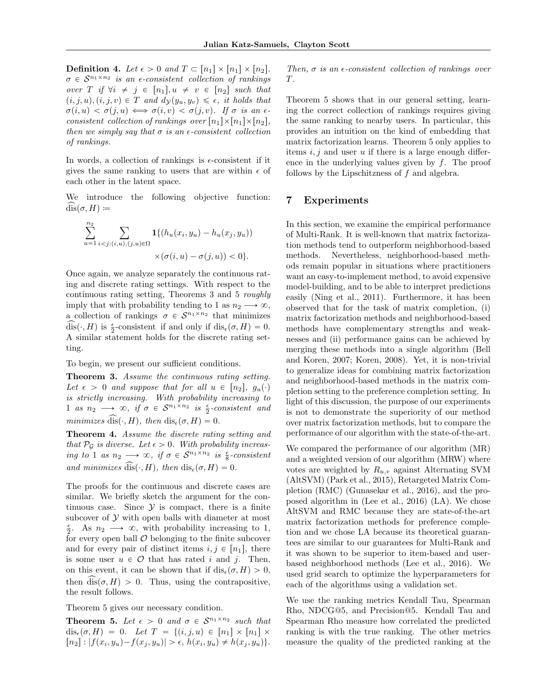**Definition 4.** Let  $\epsilon > 0$  and  $T \subset [n_1] \times [n_1] \times [n_2]$ .  $\sigma \in S^{n_1 \times n_2}$  is an e-consistent collection of rankings over T if  $\forall i \neq j \in [n_1], u \neq v \in [n_2]$  such that  $(i, j, u), (i, j, v) \in T$  and  $d_{\mathcal{Y}}(y_u, y_v) \leq \epsilon$ , it holds that  $\sigma(i, u) < \sigma(j, u) \iff \sigma(i, v) < \sigma(j, v)$ . If  $\sigma$  is an  $\epsilon$ consistent collection of rankings over  $[n_1] \times [n_1] \times [n_2]$ , then we simply say that  $\sigma$  is an  $\epsilon$ -consistent collection of rankings.

In words, a collection of rankings is  $\epsilon$ -consistent if it gives the same ranking to users that are within  $\epsilon$  of each other in the latent space.

We introduce the following objective function:  $dis(\sigma, H) \coloneqq$ 

$$
\sum_{u=1}^{n_2} \sum_{i < j: (i, u), (j, u) \in \Omega} \mathbf{1} \{ (h_u(x_i, y_u) - h_u(x_j, y_u)) \times (\sigma(i, u) - \sigma(j, u)) < 0 \}.
$$

Once again, we analyze separately the continuous rating and discrete rating settings. With respect to the continuous rating setting, Theorems [3](#page-6-0) and [5](#page-6-1) roughly imply that with probability tending to 1 as  $n_2 \longrightarrow \infty$ , a collection of rankings  $\sigma \in S^{n_1 \times n_2}$  that minimizes  $\widehat{\text{dis}}(\cdot, H)$  is  $\frac{\epsilon}{2}$ -consistent if and only if  $\text{dis}_{\epsilon}(\sigma, H) = 0$ . A similar statement holds for the discrete rating setting.

To begin, we present our sufficient conditions.

<span id="page-6-0"></span>Theorem 3. Assume the continuous rating setting. Let  $\epsilon > 0$  and suppose that for all  $u \in [n_2], g_u(\cdot)$ is strictly increasing. With probability increasing to 1 as  $n_2 \longrightarrow \infty$ , if  $\sigma \in S^{n_1 \times n_2}$  is  $\frac{\epsilon}{2}$ -consistent and minimizes dis( $\cdot$ , H), then dis<sub> $\epsilon$ </sub> $(\sigma, H) = 0$ .

Theorem 4. Assume the discrete rating setting and that  $\mathcal{P}_{\mathcal{G}}$  is diverse. Let  $\epsilon > 0$ . With probability increasing to 1 as  $n_2 \longrightarrow \infty$ , if  $\sigma \in S^{n_1 \times n_2}$  is  $\frac{\epsilon}{8}$ -consistent and minimizes  $\widehat{\text{dis}}(\cdot, H)$ , then  $\text{dis}_{\epsilon}(\sigma, H) = 0$ .

The proofs for the continuous and discrete cases are similar. We briefly sketch the argument for the continuous case. Since  $Y$  is compact, there is a finite subcover of  $Y$  with open balls with diameter at most  $\frac{\epsilon}{2}$ . As  $n_2 \longrightarrow \infty$ , with probability increasing to 1, for every open ball  $\mathcal O$  belonging to the finite subcover and for every pair of distinct items  $i, j \in [n_1]$ , there is some user  $u \in \mathcal{O}$  that has rated i and j. Then, on this event, it can be shown that if  $dis_{\epsilon}(\sigma, H) > 0$ , then  $dis(\sigma, H) > 0$ . Thus, using the contrapositive, the result follows.

Theorem [5](#page-6-1) gives our necessary condition.

<span id="page-6-1"></span>**Theorem 5.** Let  $\epsilon > 0$  and  $\sigma \in S^{n_1 \times n_2}$  such that  $dis_{\epsilon}(\sigma, H) = 0$ . Let  $T = \{(i, j, u) \in [n_1] \times [n_1] \times$  $[n_2] : |f(x_i, y_u) - f(x_j, y_u)| > \epsilon, h(x_i, y_u) \neq h(x_j, y_u)$ .

Then,  $\sigma$  is an  $\epsilon$ -consistent collection of rankings over T.

Theorem [5](#page-6-1) shows that in our general setting, learning the correct collection of rankings requires giving the same ranking to nearby users. In particular, this provides an intuition on the kind of embedding that matrix factorization learns. Theorem [5](#page-6-1) only applies to items  $i, j$  and user u if there is a large enough difference in the underlying values given by  $f$ . The proof follows by the Lipschitzness of  $f$  and algebra.

#### 7 Experiments

In this section, we examine the empirical performance of Multi-Rank. It is well-known that matrix factorization methods tend to outperform neighborhood-based methods. Nevertheless, neighborhood-based methods remain popular in situations where practitioners want an easy-to-implement method, to avoid expensive model-building, and to be able to interpret predictions easily [\(Ning et al.,](#page-8-1) [2011\)](#page-8-1). Furthermore, it has been observed that for the task of matrix completion, (i) matrix factorization methods and neighborhood-based methods have complementary strengths and weaknesses and (ii) performance gains can be achieved by merging these methods into a single algorithm [\(Bell](#page-8-23) [and Koren,](#page-8-23) [2007;](#page-8-23) [Koren,](#page-8-24) [2008\)](#page-8-24). Yet, it is non-trivial to generalize ideas for combining matrix factorization and neighborhood-based methods in the matrix completion setting to the preference completion setting. In light of this discussion, the purpose of our experiments is not to demonstrate the superiority of our method over matrix factorization methods, but to compare the performance of our algorithm with the state-of-the-art.

We compared the performance of our algorithm (MR) and a weighted version of our algorithm (MRW) where votes are weighted by  $R_{u,v}$  against Alternating SVM (AltSVM) [\(Park et al.,](#page-8-6) [2015\)](#page-8-6), Retargeted Matrix Completion (RMC) [\(Gunasekar et al.,](#page-8-8) [2016\)](#page-8-8), and the proposed algorithm in [\(Lee et al.,](#page-8-17) [2016\)](#page-8-17) (LA). We chose AltSVM and RMC because they are state-of-the-art matrix factorization methods for preference completion and we chose LA because its theoretical guarantees are similar to our guarantees for Multi-Rank and it was shown to be superior to item-based and userbased neighborhood methods [\(Lee et al.,](#page-8-17) [2016\)](#page-8-17). We used grid search to optimize the hyperparameters for each of the algorithms using a validation set.

We use the ranking metrics Kendall Tau, Spearman Rho, NDCG@5, and Precision@5. Kendall Tau and Spearman Rho measure how correlated the predicted ranking is with the true ranking. The other metrics measure the quality of the predicted ranking at the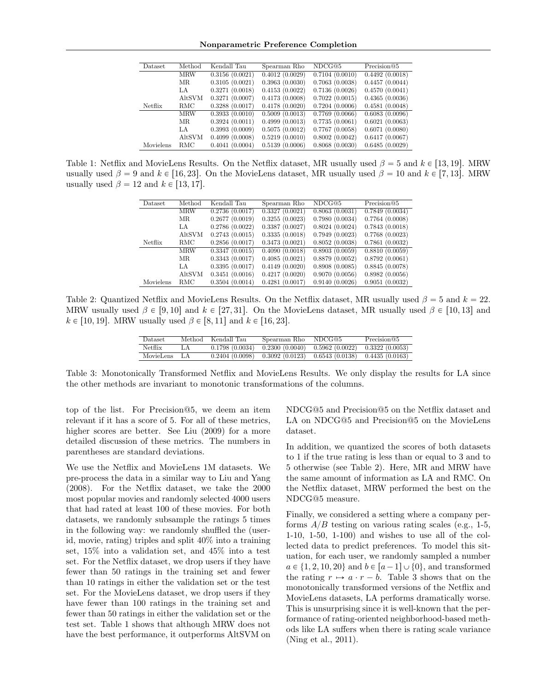<span id="page-7-0"></span>Nonparametric Preference Completion

| Dataset.  | Method     | Kendall Tau    | Spearman Rho   | NDCG@5         | Precision@5    |
|-----------|------------|----------------|----------------|----------------|----------------|
|           | <b>MRW</b> | 0.3156(0.0021) | 0.4012(0.0029) | 0.7104(0.0010) | 0.4492(0.0018) |
|           | МR         | 0.3105(0.0021) | 0.3963(0.0030) | 0.7063(0.0038) | 0.4457(0.0044) |
|           | LA         | 0.3271(0.0018) | 0.4153(0.0022) | 0.7136(0.0026) | 0.4570(0.0041) |
|           | AltSVM     | 0.3271(0.0007) | 0.4173(0.0008) | 0.7022(0.0015) | 0.4365(0.0036) |
| Netflix   | RMC        | 0.3288(0.0017) | 0.4178(0.0020) | 0.7204(0.0006) | 0.4581(0.0048) |
|           | <b>MRW</b> | 0.3933(0.0010) | 0.5009(0.0013) | 0.7769(0.0066) | 0.6083(0.0096) |
|           | MR.        | 0.3924(0.0011) | 0.4999(0.0013) | 0.7735(0.0061) | 0.6021(0.0063) |
|           | LA         | 0.3993(0.0009) | 0.5075(0.0012) | 0.7767(0.0058) | 0.6071(0.0080) |
|           | AltSVM     | 0.4099(0.0008) | 0.5219(0.0010) | 0.8002(0.0042) | 0.6417(0.0067) |
| Movielens | RMC        | 0.4041(0.0004) | 0.5139(0.0006) | 0.8068(0.0030) | 0.6485(0.0029) |

Table 1: Netflix and MovieLens Results. On the Netflix dataset, MR usually used  $\beta = 5$  and  $k \in [13, 19]$ . MRW usually used  $\beta = 9$  and  $k \in [16, 23]$ . On the MovieLens dataset, MR usually used  $\beta = 10$  and  $k \in [7, 13]$ . MRW usually used  $\beta = 12$  and  $k \in [13, 17]$ .

| Dataset   | Method     | Kendall Tau    | Spearman Rho   | NDCG@5         | Precision@5                  |
|-----------|------------|----------------|----------------|----------------|------------------------------|
|           | <b>MRW</b> | 0.2736(0.0017) | 0.3327(0.0021) | 0.8063(0.0031) | $\overline{0.7849}$ (0.0034) |
|           | MR.        | 0.2677(0.0019) | 0.3255(0.0023) | 0.7980(0.0034) | 0.7764(0.0008)               |
|           | LA         | 0.2786(0.0022) | 0.3387(0.0027) | 0.8024(0.0024) | 0.7843(0.0018)               |
|           | AltSVM     | 0.2743(0.0015) | 0.3335(0.0018) | 0.7949(0.0023) | 0.7768(0.0023)               |
| Netflix   | RMC        | 0.2856(0.0017) | 0.3473(0.0021) | 0.8052(0.0038) | 0.7861(0.0032)               |
|           | <b>MRW</b> | 0.3347(0.0015) | 0.4090(0.0018) | 0.8903(0.0059) | 0.8810(0.0059)               |
|           | MR.        | 0.3343(0.0017) | 0.4085(0.0021) | 0.8879(0.0052) | 0.8792(0.0061)               |
|           | LA.        | 0.3395(0.0017) | 0.4149(0.0020) | 0.8908(0.0085) | 0.8845(0.0078)               |
|           | AltSVM     | 0.3451(0.0016) | 0.4217(0.0020) | 0.9070(0.0056) | 0.8982(0.0056)               |
| Movielens | RMC        | 0.3504(0.0014) | 0.4281(0.0017) | 0.9140(0.0026) | 0.9051(0.0032)               |

Table 2: Quantized Netflix and MovieLens Results. On the Netflix dataset, MR usually used  $\beta = 5$  and  $k = 22$ . MRW usually used  $\beta \in [9, 10]$  and  $k \in [27, 31]$ . On the MovieLens dataset, MR usually used  $\beta \in [10, 13]$  and  $k \in [10, 19]$ . MRW usually used  $\beta \in [8, 11]$  and  $k \in [16, 23]$ .

| Dataset        |    | Method Kendall Tau | Spearman Rho | NDCG@5                                                                  | Precision@5 |
|----------------|----|--------------------|--------------|-------------------------------------------------------------------------|-------------|
| <b>Netflix</b> | LA |                    |              | $0.1798(0.0034)$ $0.2300(0.0040)$ $0.5962(0.0022)$ $0.3322(0.0053)$     |             |
| MovieLens LA   |    |                    |              | $0.2404 (0.0098)$ $0.3092 (0.0123)$ $0.6543 (0.0138)$ $0.4435 (0.0163)$ |             |

Table 3: Monotonically Transformed Netflix and MovieLens Results. We only display the results for LA since the other methods are invariant to monotonic transformations of the columns.

top of the list. For Precision@5, we deem an item relevant if it has a score of 5. For all of these metrics, higher scores are better. See [Liu](#page-8-25) [\(2009\)](#page-8-25) for a more detailed discussion of these metrics. The numbers in parentheses are standard deviations.

We use the Netflix and MovieLens 1M datasets. We pre-process the data in a similar way to [Liu and Yang](#page-8-3) [\(2008\)](#page-8-3). For the Netflix dataset, we take the 2000 most popular movies and randomly selected 4000 users that had rated at least 100 of these movies. For both datasets, we randomly subsample the ratings 5 times in the following way: we randomly shuffled the (userid, movie, rating) triples and split 40% into a training set, 15% into a validation set, and 45% into a test set. For the Netflix dataset, we drop users if they have fewer than 50 ratings in the training set and fewer than 10 ratings in either the validation set or the test set. For the MovieLens dataset, we drop users if they have fewer than 100 ratings in the training set and fewer than 50 ratings in either the validation set or the test set. Table [1](#page-7-0) shows that although MRW does not have the best performance, it outperforms AltSVM on

<span id="page-7-2"></span><span id="page-7-1"></span>NDCG@5 and Precision@5 on the Netflix dataset and LA on NDCG@5 and Precision@5 on the MovieLens dataset.

In addition, we quantized the scores of both datasets to 1 if the true rating is less than or equal to 3 and to 5 otherwise (see Table [2\)](#page-7-1). Here, MR and MRW have the same amount of information as LA and RMC. On the Netflix dataset, MRW performed the best on the NDCG@5 measure.

Finally, we considered a setting where a company performs  $A/B$  testing on various rating scales (e.g., 1-5, 1-10, 1-50, 1-100) and wishes to use all of the collected data to predict preferences. To model this situation, for each user, we randomly sampled a number  $a \in \{1, 2, 10, 20\}$  and  $b \in [a-1] \cup \{0\}$ , and transformed the rating  $r \mapsto a \cdot r - b$ . Table [3](#page-7-2) shows that on the monotonically transformed versions of the Netflix and MovieLens datasets, LA performs dramatically worse. This is unsurprising since it is well-known that the performance of rating-oriented neighborhood-based methods like LA suffers when there is rating scale variance [\(Ning et al.,](#page-8-1) [2011\)](#page-8-1).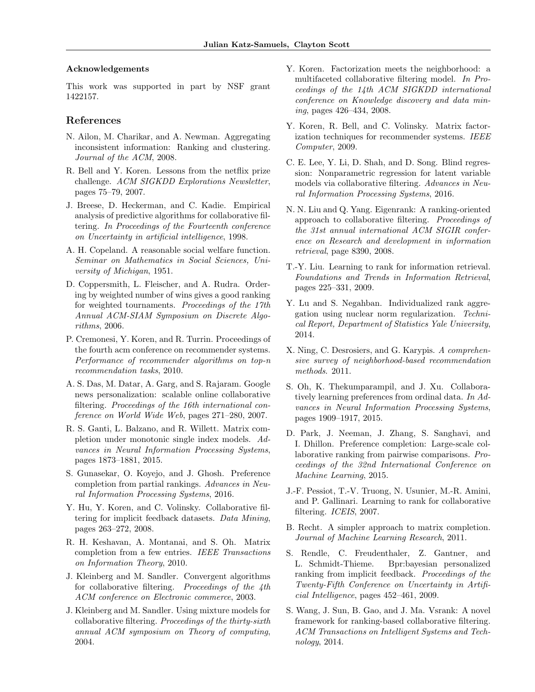#### Acknowledgements

This work was supported in part by NSF grant 1422157.

#### References

- <span id="page-8-22"></span>N. Ailon, M. Charikar, and A. Newman. Aggregating inconsistent information: Ranking and clustering. Journal of the ACM, 2008.
- <span id="page-8-23"></span>R. Bell and Y. Koren. Lessons from the netflix prize challenge. ACM SIGKDD Explorations Newsletter, pages 75–79, 2007.
- <span id="page-8-2"></span>J. Breese, D. Heckerman, and C. Kadie. Empirical analysis of predictive algorithms for collaborative filtering. In Proceedings of the Fourteenth conference on Uncertainty in artificial intelligence, 1998.
- <span id="page-8-20"></span>A. H. Copeland. A reasonable social welfare function. Seminar on Mathematics in Social Sciences, University of Michigan, 1951.
- <span id="page-8-21"></span>D. Coppersmith, L. Fleischer, and A. Rudra. Ordering by weighted number of wins gives a good ranking for weighted tournaments. Proceedings of the 17th Annual ACM-SIAM Symposium on Discrete Algorithms, 2006.
- <span id="page-8-4"></span>P. Cremonesi, Y. Koren, and R. Turrin. Proceedings of the fourth acm conference on recommender systems. Performance of recommender algorithms on top-n recommendation tasks, 2010.
- <span id="page-8-13"></span>A. S. Das, M. Datar, A. Garg, and S. Rajaram. Google news personalization: scalable online collaborative filtering. Proceedings of the 16th international conference on World Wide Web, pages 271–280, 2007.
- <span id="page-8-19"></span>R. S. Ganti, L. Balzano, and R. Willett. Matrix completion under monotonic single index models. Advances in Neural Information Processing Systems, pages 1873–1881, 2015.
- <span id="page-8-8"></span>S. Gunasekar, O. Koyejo, and J. Ghosh. Preference completion from partial rankings. Advances in Neural Information Processing Systems, 2016.
- <span id="page-8-18"></span>Y. Hu, Y. Koren, and C. Volinsky. Collaborative filtering for implicit feedback datasets. Data Mining, pages 263–272, 2008.
- <span id="page-8-10"></span>R. H. Keshavan, A. Montanai, and S. Oh. Matrix completion from a few entries. IEEE Transactions on Information Theory, 2010.
- <span id="page-8-15"></span>J. Kleinberg and M. Sandler. Convergent algorithms for collaborative filtering. Proceedings of the 4th ACM conference on Electronic commerce, 2003.
- <span id="page-8-16"></span>J. Kleinberg and M. Sandler. Using mixture models for collaborative filtering. Proceedings of the thirty-sixth annual ACM symposium on Theory of computing, 2004.
- <span id="page-8-24"></span>Y. Koren. Factorization meets the neighborhood: a multifaceted collaborative filtering model. In Proceedings of the 14th ACM SIGKDD international conference on Knowledge discovery and data mining, pages 426–434, 2008.
- <span id="page-8-0"></span>Y. Koren, R. Bell, and C. Volinsky. Matrix factorization techniques for recommender systems. IEEE Computer, 2009.
- <span id="page-8-17"></span>C. E. Lee, Y. Li, D. Shah, and D. Song. Blind regression: Nonparametric regression for latent variable models via collaborative filtering. Advances in Neural Information Processing Systems, 2016.
- <span id="page-8-3"></span>N. N. Liu and Q. Yang. Eigenrank: A ranking-oriented approach to collaborative filtering. Proceedings of the 31st annual international ACM SIGIR conference on Research and development in information retrieval, page 8390, 2008.
- <span id="page-8-25"></span>T.-Y. Liu. Learning to rank for information retrieval. Foundations and Trends in Information Retrieval, pages 225–331, 2009.
- <span id="page-8-5"></span>Y. Lu and S. Negahban. Individualized rank aggregation using nuclear norm regularization. Technical Report, Department of Statistics Yale University, 2014.
- <span id="page-8-1"></span>X. Ning, C. Desrosiers, and G. Karypis. A comprehensive survey of neighborhood-based recommendation methods. 2011.
- <span id="page-8-7"></span>S. Oh, K. Thekumparampil, and J. Xu. Collaboratively learning preferences from ordinal data. In Advances in Neural Information Processing Systems, pages 1909–1917, 2015.
- <span id="page-8-6"></span>D. Park, J. Neeman, J. Zhang, S. Sanghavi, and I. Dhillon. Preference completion: Large-scale collaborative ranking from pairwise comparisons. Proceedings of the 32nd International Conference on Machine Learning, 2015.
- <span id="page-8-12"></span>J.-F. Pessiot, T.-V. Truong, N. Usunier, M.-R. Amini, and P. Gallinari. Learning to rank for collaborative filtering. ICEIS, 2007.
- <span id="page-8-9"></span>B. Recht. A simpler approach to matrix completion. Journal of Machine Learning Research, 2011.
- <span id="page-8-11"></span>S. Rendle, C. Freudenthaler, Z. Gantner, and L. Schmidt-Thieme. Bpr:bayesian personalized ranking from implicit feedback. *Proceedings of the* Twenty-Fifth Conference on Uncertainty in Artificial Intelligence, pages 452–461, 2009.
- <span id="page-8-14"></span>S. Wang, J. Sun, B. Gao, and J. Ma. Vsrank: A novel framework for ranking-based collaborative filtering. ACM Transactions on Intelligent Systems and Technology, 2014.